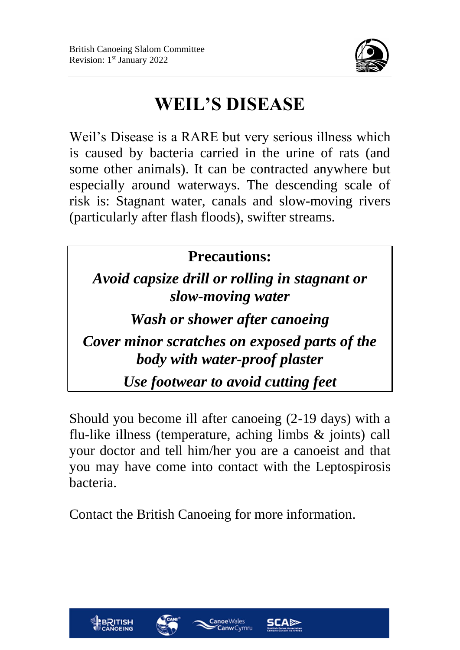

### **WEIL'S DISEASE**

Weil's Disease is a RARE but very serious illness which is caused by bacteria carried in the urine of rats (and some other animals). It can be contracted anywhere but especially around waterways. The descending scale of risk is: Stagnant water, canals and slow-moving rivers (particularly after flash floods), swifter streams.

#### **Precautions:** *Avoid capsize drill or rolling in stagnant or slow-moving water Wash or shower after canoeing Cover minor scratches on exposed parts of the body with water-proof plaster Use footwear to avoid cutting feet*

Should you become ill after canoeing (2-19 days) with a flu-like illness (temperature, aching limbs & joints) call your doctor and tell him/her you are a canoeist and that you may have come into contact with the Leptospirosis bacteria.

Contact the British Canoeing for more information.





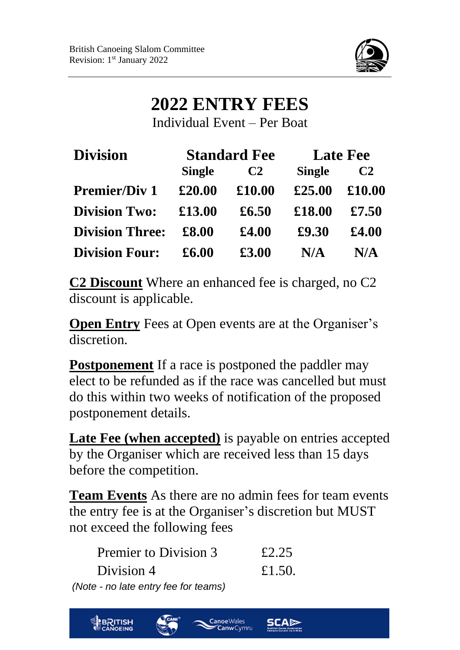

#### **2022 ENTRY FEES**

Individual Event – Per Boat

| <b>Division</b>        | <b>Standard Fee</b> |                | <b>Late Fee</b> |                |
|------------------------|---------------------|----------------|-----------------|----------------|
|                        | <b>Single</b>       | C <sub>2</sub> | <b>Single</b>   | C <sub>2</sub> |
| <b>Premier/Div 1</b>   | £20.00              | £10.00         | £25.00          | £10.00         |
| <b>Division Two:</b>   | £13.00              | £6.50          | £18.00          | £7.50          |
| <b>Division Three:</b> | £8.00               | £4.00          | £9.30           | £4.00          |
| <b>Division Four:</b>  | £6.00               | £3.00          | N/A             | N/A            |

**C2 Discount** Where an enhanced fee is charged, no C2 discount is applicable.

**Open Entry** Fees at Open events are at the Organiser's discretion.

**Postponement** If a race is postponed the paddler may elect to be refunded as if the race was cancelled but must do this within two weeks of notification of the proposed postponement details.

**Late Fee (when accepted)** is payable on entries accepted by the Organiser which are received less than 15 days before the competition.

**Team Events** As there are no admin fees for team events the entry fee is at the Organiser's discretion but MUST not exceed the following fees

> Canoe Wales **Canw** Cymru

| Premier to Division 3                | £2.25  |
|--------------------------------------|--------|
| Division 4                           | £1.50. |
| (Note - no late entry fee for teams) |        |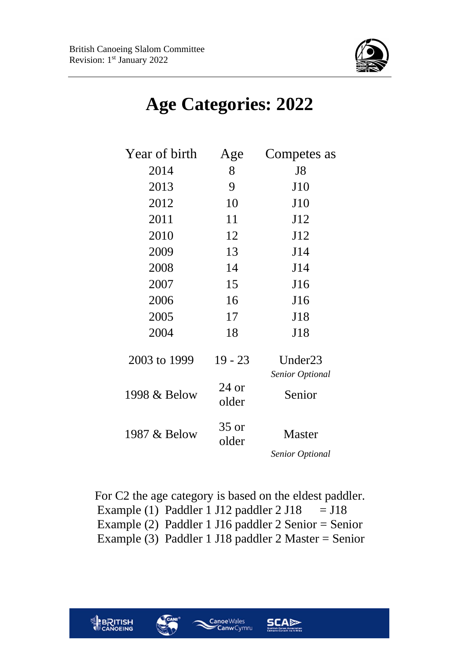**BRITISH** 



### **Age Categories: 2022**

| Year of birth | Age              | Competes as                             |
|---------------|------------------|-----------------------------------------|
| 2014          | 8                | J8                                      |
| 2013          | 9                | J10                                     |
| 2012          | 10               | J10                                     |
| 2011          | 11               | J12                                     |
| 2010          | 12               | J12                                     |
| 2009          | 13               | J14                                     |
| 2008          | 14               | J14                                     |
| 2007          | 15               | J16                                     |
| 2006          | 16               | J16                                     |
| 2005          | 17               | J18                                     |
| 2004          | 18               | J18                                     |
| 2003 to 1999  | $19 - 23$        | Under <sub>23</sub><br>Senior Optional  |
| 1998 & Below  | $24$ or<br>older | Senior                                  |
| 1987 & Below  | $35$ or<br>older | <b>Master</b><br><b>Senior Optional</b> |

For C2 the age category is based on the eldest paddler. Example (1) Paddler 1 J12 paddler  $2$  J18 = J18 Example (2) Paddler 1 J16 paddler 2 Senior = Senior Example (3) Paddler 1 J18 paddler 2 Master = Senior

Canoe Wales

**Canw** Cymru

**SCAD**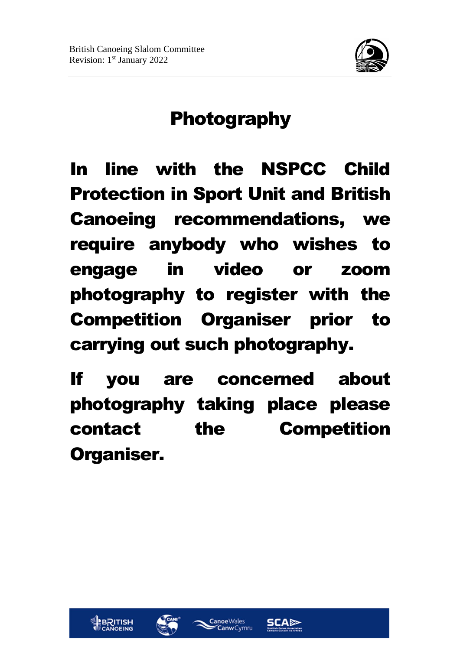

### Photography

In line with the NSPCC Child Protection in Sport Unit and British Canoeing recommendations, we require anybody who wishes to engage in video or zoom photography to register with the Competition Organiser prior to carrying out such photography.

If you are concerned about photography taking place please contact the Competition Organiser.







**SCAD**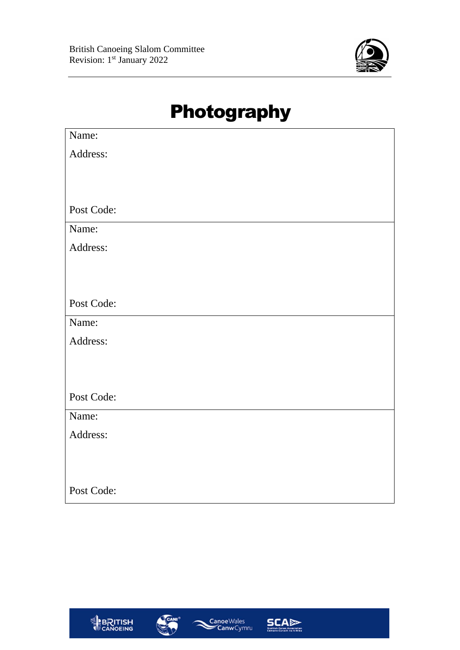

### Photography

| Name:      |
|------------|
| Address:   |
|            |
|            |
| Post Code: |
| Name:      |
| Address:   |
|            |
|            |
| Post Code: |
| Name:      |
| Address:   |
|            |
|            |
| Post Code: |
| Name:      |
| Address:   |
|            |
|            |
| Post Code: |







SCA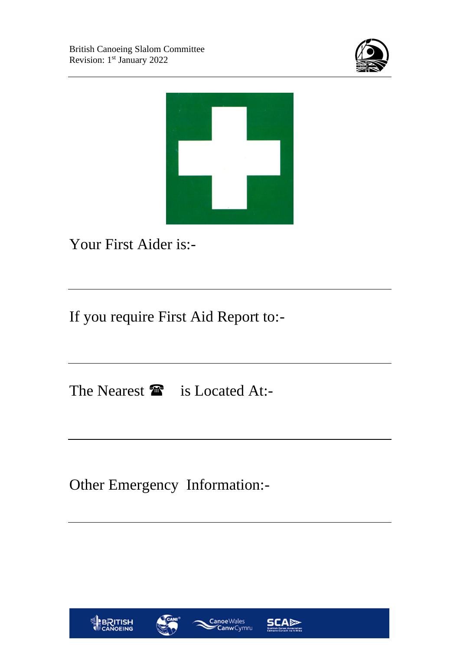



Your First Aider is:-

If you require First Aid Report to:-

The Nearest  $\mathbf{\hat{m}}$  is Located At:-

Other Emergency Information:-





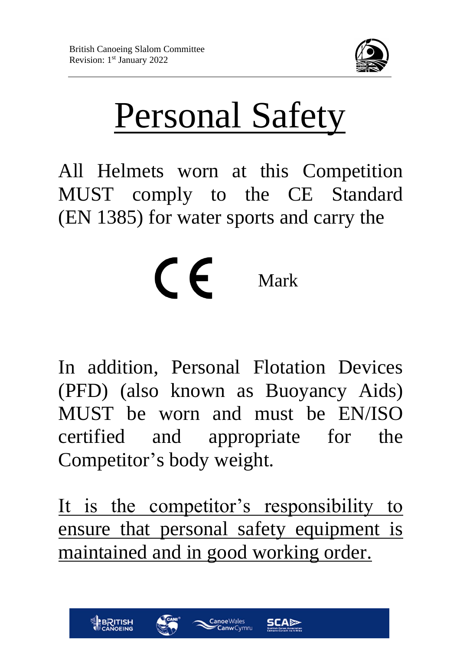

# Personal Safety

All Helmets worn at this Competition MUST comply to the CE Standard (EN 1385) for water sports and carry the

## $\epsilon$ Mark

In addition, Personal Flotation Devices (PFD) (also known as Buoyancy Aids) MUST be worn and must be EN/ISO certified and appropriate for the Competitor's body weight.

It is the competitor's responsibility to ensure that personal safety equipment is maintained and in good working order.





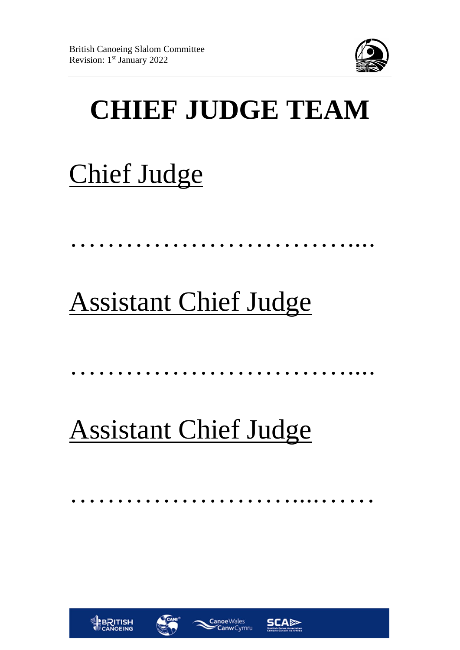

## **CHIEF JUDGE TEAM**

## Chief Judge

# Assistant Chief Judge

…………………………………………

…………………………....

# Assistant Chief Judge

……………………………………………







**SCAD**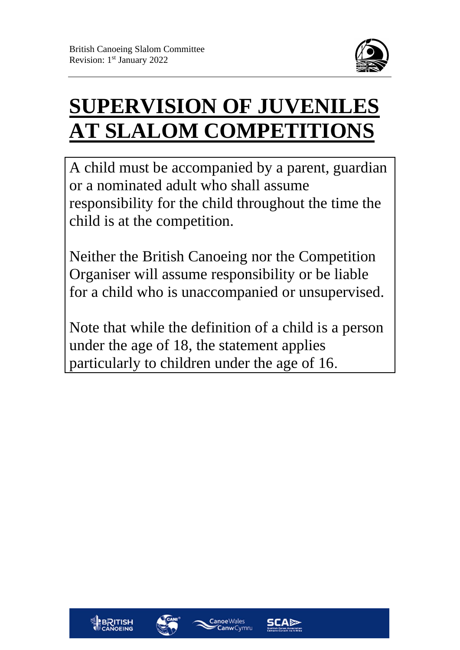

### **SUPERVISION OF JUVENILES AT SLALOM COMPETITIONS**

A child must be accompanied by a parent, guardian or a nominated adult who shall assume responsibility for the child throughout the time the child is at the competition.

Neither the British Canoeing nor the Competition Organiser will assume responsibility or be liable for a child who is unaccompanied or unsupervised.

Note that while the definition of a child is a person under the age of 18, the statement applies particularly to children under the age of 16.